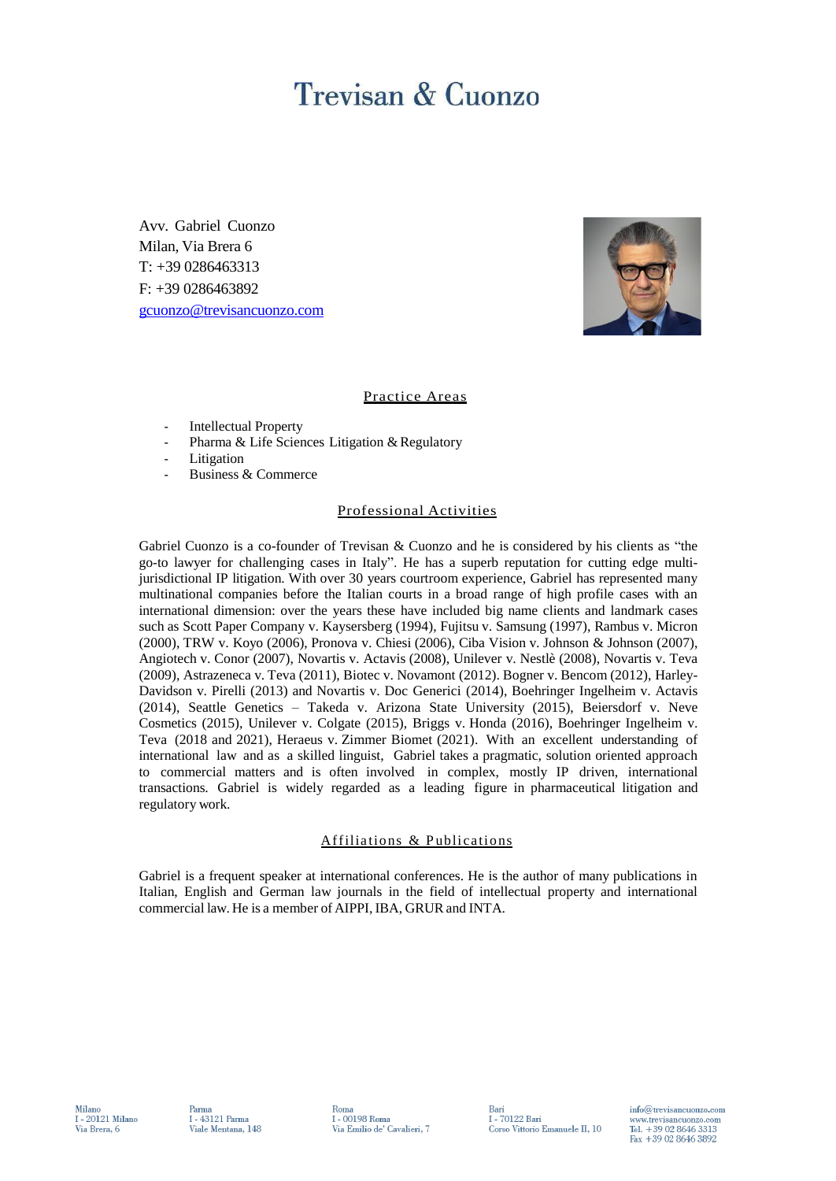# **Trevisan & Cuonzo**

Avv. Gabriel Cuonzo Milan, Via Brera 6 T: +39 0286463313 F: +39 0286463892 [gcuonzo@trevisancuonzo.com](mailto:gcuonzo@trevisancuonzo.com)



## Practice Areas

- Intellectual Property
- Pharma & Life Sciences Litigation & Regulatory
- Litigation
- Business & Commerce

## Professional Activities

Gabriel Cuonzo is a co-founder of Trevisan & Cuonzo and he is considered by his clients as "the go-to lawyer for challenging cases in Italy". He has a superb reputation for cutting edge multijurisdictional IP litigation. With over 30 years courtroom experience, Gabriel has represented many multinational companies before the Italian courts in a broad range of high profile cases with an international dimension: over the years these have included big name clients and landmark cases such as Scott Paper Company v. Kaysersberg (1994), Fujitsu v. Samsung (1997), Rambus v. Micron (2000), TRW v. Koyo (2006), Pronova v. Chiesi (2006), Ciba Vision v. Johnson & Johnson (2007), Angiotech v. Conor (2007), Novartis v. Actavis (2008), Unilever v. Nestlè (2008), Novartis v. Teva (2009), Astrazeneca v. Teva (2011), Biotec v. Novamont (2012). Bogner v. Bencom (2012), Harley-Davidson v. Pirelli (2013) and Novartis v. Doc Generici (2014), Boehringer Ingelheim v. Actavis (2014), Seattle Genetics – Takeda v. Arizona State University (2015), Beiersdorf v. Neve Cosmetics (2015), Unilever v. Colgate (2015), Briggs v. Honda (2016), Boehringer Ingelheim v. Teva (2018 and 2021), Heraeus v. Zimmer Biomet (2021). With an excellent understanding of international law and as a skilled linguist, Gabriel takes a pragmatic, solution oriented approach to commercial matters and is often involved in complex, mostly IP driven, international transactions. Gabriel is widely regarded as a leading figure in pharmaceutical litigation and regulatory work.

## Affiliations & Publications

Gabriel is a frequent speaker at international conferences. He is the author of many publications in Italian, English and German law journals in the field of intellectual property and international commercial law. He is a member of AIPPI, IBA, GRUR and INTA.